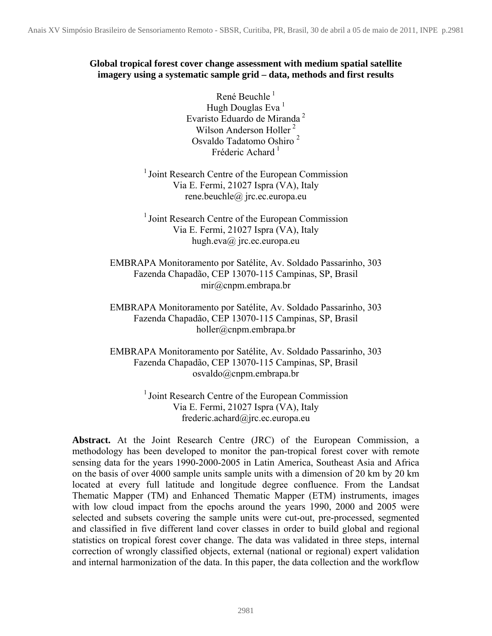# **Global tropical forest cover change assessment with medium spatial satellite imagery using a systematic sample grid – data, methods and first results**

René Beuchle<sup>1</sup> Hugh Douglas Eva<sup>1</sup> Evaristo Eduardo de Miranda <sup>2</sup> Wilson Anderson Holler<sup>2</sup> Osvaldo Tadatomo Oshiro <sup>2</sup> Fréderic Achard<sup>1</sup>

<sup>1</sup> Joint Research Centre of the European Commission Via E. Fermi, 21027 Ispra (VA), Italy rene.beuchle@ jrc.ec.europa.eu

 $<sup>1</sup>$  Joint Research Centre of the European Commission</sup> Via E. Fermi, 21027 Ispra (VA), Italy hugh.eva@ jrc.ec.europa.eu

EMBRAPA Monitoramento por Satélite, Av. Soldado Passarinho, 303 Fazenda Chapadão, CEP 13070-115 Campinas, SP, Brasil [mir@cnpm.embrapa.br](mailto:mir@cnpm.embrapa.br) 

EMBRAPA Monitoramento por Satélite, Av. Soldado Passarinho, 303 Fazenda Chapadão, CEP 13070-115 Campinas, SP, Brasil [holler@cnpm.embrapa.br](mailto:holler@cnpm.embrapa.br) 

EMBRAPA Monitoramento por Satélite, Av. Soldado Passarinho, 303 Fazenda Chapadão, CEP 13070-115 Campinas, SP, Brasil osvaldo@cnpm.embrapa.br

> <sup>1</sup> Joint Research Centre of the European Commission Via E. Fermi, 21027 Ispra (VA), Italy frederic.achard@jrc.ec.europa.eu

**Abstract.** At the Joint Research Centre (JRC) of the European Commission, a methodology has been developed to monitor the pan-tropical forest cover with remote sensing data for the years 1990-2000-2005 in Latin America, Southeast Asia and Africa on the basis of over 4000 sample units sample units with a dimension of 20 km by 20 km located at every full latitude and longitude degree confluence. From the Landsat Thematic Mapper (TM) and Enhanced Thematic Mapper (ETM) instruments, images with low cloud impact from the epochs around the years 1990, 2000 and 2005 were selected and subsets covering the sample units were cut-out, pre-processed, segmented and classified in five different land cover classes in order to build global and regional statistics on tropical forest cover change. The data was validated in three steps, internal correction of wrongly classified objects, external (national or regional) expert validation and internal harmonization of the data. In this paper, the data collection and the workflow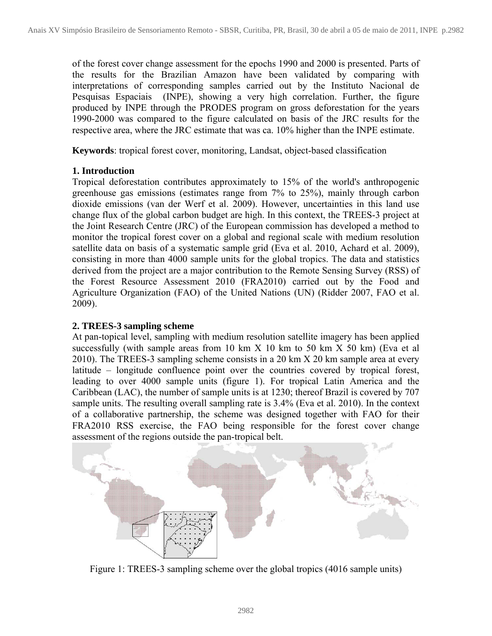of the forest cover change assessment for the epochs 1990 and 2000 is presented. Parts of the results for the Brazilian Amazon have been validated by comparing with interpretations of corresponding samples carried out by the Instituto Nacional de Pesquisas Espaciais (INPE), showing a very high correlation. Further, the figure produced by INPE through the PRODES program on gross deforestation for the years 1990-2000 was compared to the figure calculated on basis of the JRC results for the respective area, where the JRC estimate that was ca. 10% higher than the INPE estimate.

**Keywords**: tropical forest cover, monitoring, Landsat, object-based classification

# **1. Introduction**

Tropical deforestation contributes approximately to 15% of the world's anthropogenic greenhouse gas emissions (estimates range from 7% to 25%), mainly through carbon dioxide emissions (van der Werf et al. 2009). However, uncertainties in this land use change flux of the global carbon budget are high. In this context, the TREES-3 project at the Joint Research Centre (JRC) of the European commission has developed a method to monitor the tropical forest cover on a global and regional scale with medium resolution satellite data on basis of a systematic sample grid (Eva et al. 2010, Achard et al. 2009), consisting in more than 4000 sample units for the global tropics. The data and statistics derived from the project are a major contribution to the Remote Sensing Survey (RSS) of the Forest Resource Assessment 2010 (FRA2010) carried out by the Food and Agriculture Organization (FAO) of the United Nations (UN) (Ridder 2007, FAO et al. 2009).

### **2. TREES-3 sampling scheme**

At pan-topical level, sampling with medium resolution satellite imagery has been applied successfully (with sample areas from 10 km  $X$  10 km to 50 km  $X$  50 km) (Eva et al 2010). The TREES-3 sampling scheme consists in a 20 km X 20 km sample area at every latitude – longitude confluence point over the countries covered by tropical forest, leading to over 4000 sample units (figure 1). For tropical Latin America and the Caribbean (LAC), the number of sample units is at 1230; thereof Brazil is covered by 707 sample units. The resulting overall sampling rate is 3.4% (Eva et al. 2010). In the context of a collaborative partnership, the scheme was designed together with FAO for their FRA2010 RSS exercise, the FAO being responsible for the forest cover change assessment of the regions outside the pan-tropical belt.



Figure 1: TREES-3 sampling scheme over the global tropics (4016 sample units)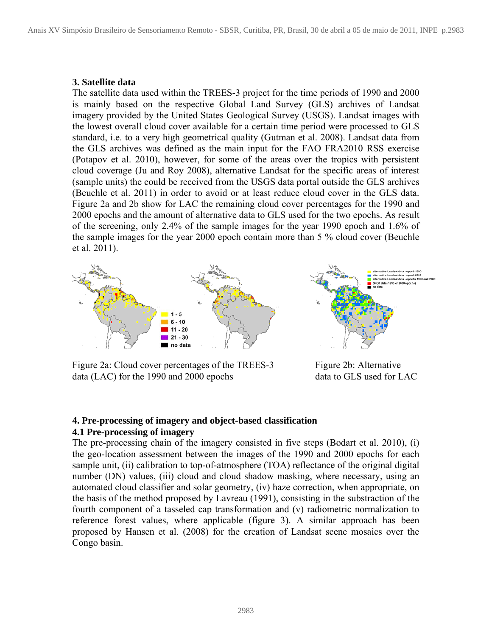#### **3. Satellite data**

The satellite data used within the TREES-3 project for the time periods of 1990 and 2000 is mainly based on the respective Global Land Survey (GLS) archives of Landsat imagery provided by the United States Geological Survey (USGS). Landsat images with the lowest overall cloud cover available for a certain time period were processed to GLS standard, i.e. to a very high geometrical quality (Gutman et al. 2008). Landsat data from the GLS archives was defined as the main input for the FAO FRA2010 RSS exercise (Potapov et al. 2010), however, for some of the areas over the tropics with persistent cloud coverage (Ju and Roy 2008), alternative Landsat for the specific areas of interest (sample units) the could be received from the USGS data portal outside the GLS archives (Beuchle et al. 2011) in order to avoid or at least reduce cloud cover in the GLS data. Figure 2a and 2b show for LAC the remaining cloud cover percentages for the 1990 and 2000 epochs and the amount of alternative data to GLS used for the two epochs. As result of the screening, only 2.4% of the sample images for the year 1990 epoch and 1.6% of the sample images for the year 2000 epoch contain more than 5 % cloud cover (Beuchle et al. 2011).



Figure 2a: Cloud cover percentages of the TREES-3 data (LAC) for the 1990 and 2000 epochs

Figure 2b: Alternative data to GLS used for LAC

#### **4. Pre-processing of imagery and object-based classification 4.1 Pre-processing of imagery**

The pre-processing chain of the imagery consisted in five steps (Bodart et al. 2010), (i) the geo-location assessment between the images of the 1990 and 2000 epochs for each sample unit, (ii) calibration to top-of-atmosphere (TOA) reflectance of the original digital number (DN) values, (iii) cloud and cloud shadow masking, where necessary, using an automated cloud classifier and solar geometry, (iv) haze correction, when appropriate, on the basis of the method proposed by Lavreau (1991), consisting in the substraction of the fourth component of a tasseled cap transformation and (v) radiometric normalization to reference forest values, where applicable (figure 3). A similar approach has been proposed by Hansen et al. (2008) for the creation of Landsat scene mosaics over the Congo basin.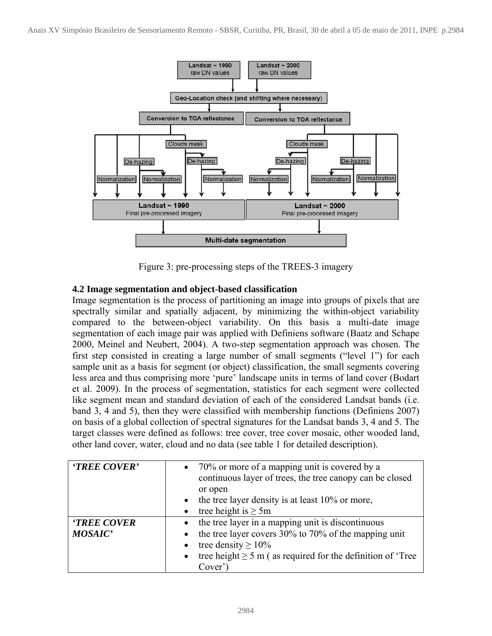

Figure 3: pre-processing steps of the TREES-3 imagery

# **4.2 Image segmentation and object-based classification**

Image segmentation is the process of partitioning an image into groups of pixels that are spectrally similar and spatially adjacent, by minimizing the within-object variability compared to the between-object variability. On this basis a multi-date image segmentation of each image pair was applied with Definiens software (Baatz and Schape 2000, Meinel and Neubert, 2004). A two-step segmentation approach was chosen. The first step consisted in creating a large number of small segments ("level 1") for each sample unit as a basis for segment (or object) classification, the small segments covering less area and thus comprising more 'pure' landscape units in terms of land cover (Bodart et al. 2009). In the process of segmentation, statistics for each segment were collected like segment mean and standard deviation of each of the considered Landsat bands (i.e. band 3, 4 and 5), then they were classified with membership functions (Definiens 2007) on basis of a global collection of spectral signatures for the Landsat bands 3, 4 and 5. The target classes were defined as follows: tree cover, tree cover mosaic, other wooded land, other land cover, water, cloud and no data (see table 1 for detailed description).

| 'TREE COVER'                        | • 70% or more of a mapping unit is covered by a<br>continuous layer of trees, the tree canopy can be closed<br>or open<br>• the tree layer density is at least $10\%$ or more,<br>tree height is $\geq 5m$                                     |
|-------------------------------------|------------------------------------------------------------------------------------------------------------------------------------------------------------------------------------------------------------------------------------------------|
| <b>TREE COVER</b><br><b>MOSAIC'</b> | • the tree layer in a mapping unit is discontinuous<br>the tree layer covers 30% to 70% of the mapping unit<br>tree density $\geq 10\%$<br>$\bullet$<br>tree height $\geq 5$ m (as required for the definition of 'Tree<br>$\bullet$<br>Cover) |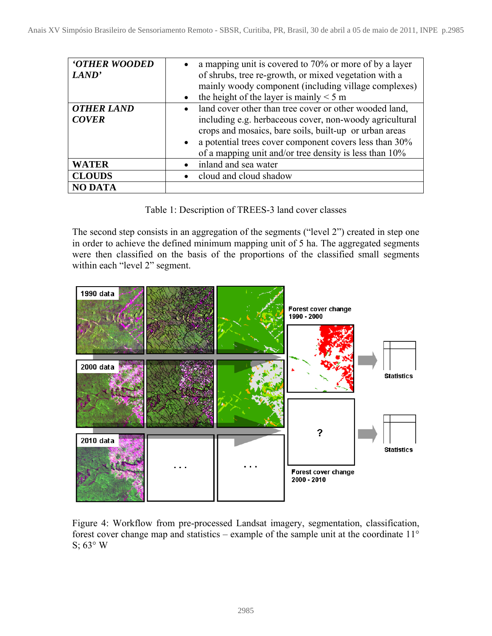| <b>'OTHER WOODED</b><br>LAND'     | • a mapping unit is covered to 70% or more of by a layer<br>of shrubs, tree re-growth, or mixed vegetation with a<br>mainly woody component (including village complexes)<br>the height of the layer is mainly $\leq 5$ m<br>$\bullet$                                                                         |
|-----------------------------------|----------------------------------------------------------------------------------------------------------------------------------------------------------------------------------------------------------------------------------------------------------------------------------------------------------------|
| <b>OTHER LAND</b><br><b>COVER</b> | land cover other than tree cover or other wooded land,<br>$\bullet$<br>including e.g. herbaceous cover, non-woody agricultural<br>crops and mosaics, bare soils, built-up or urban areas<br>• a potential trees cover component covers less than 30%<br>of a mapping unit and/or tree density is less than 10% |
| <b>WATER</b>                      | inland and sea water                                                                                                                                                                                                                                                                                           |
| <b>CLOUDS</b>                     | cloud and cloud shadow                                                                                                                                                                                                                                                                                         |
| <b>NO DATA</b>                    |                                                                                                                                                                                                                                                                                                                |

Table 1: Description of TREES-3 land cover classes

The second step consists in an aggregation of the segments ("level 2") created in step one in order to achieve the defined minimum mapping unit of 5 ha. The aggregated segments were then classified on the basis of the proportions of the classified small segments within each "level 2" segment.



Figure 4: Workflow from pre-processed Landsat imagery, segmentation, classification, forest cover change map and statistics – example of the sample unit at the coordinate  $11^{\circ}$ S;  $63^\circ$  W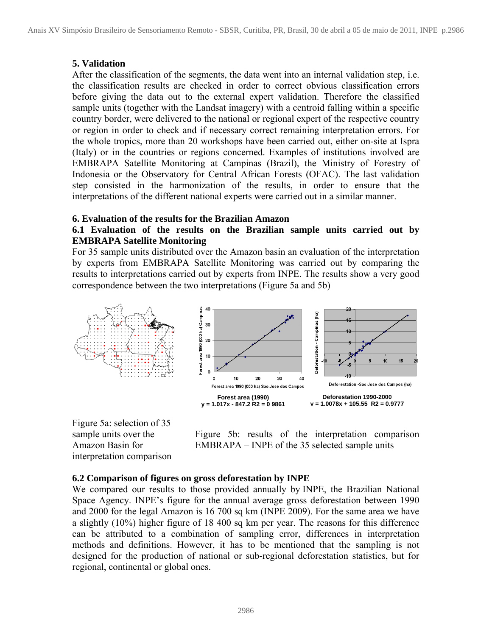#### **5. Validation**

After the classification of the segments, the data went into an internal validation step, i.e. the classification results are checked in order to correct obvious classification errors before giving the data out to the external expert validation. Therefore the classified sample units (together with the Landsat imagery) with a centroid falling within a specific country border, were delivered to the national or regional expert of the respective country or region in order to check and if necessary correct remaining interpretation errors. For the whole tropics, more than 20 workshops have been carried out, either on-site at Ispra (Italy) or in the countries or regions concerned. Examples of institutions involved are EMBRAPA Satellite Monitoring at Campinas (Brazil), the Ministry of Forestry of Indonesia or the Observatory for Central African Forests (OFAC). The last validation step consisted in the harmonization of the results, in order to ensure that the interpretations of the different national experts were carried out in a similar manner.

#### **6. Evaluation of the results for the Brazilian Amazon**

### **6.1 Evaluation of the results on the Brazilian sample units carried out by EMBRAPA Satellite Monitoring**

For 35 sample units distributed over the Amazon basin an evaluation of the interpretation by experts from EMBRAPA Satellite Monitoring was carried out by comparing the results to interpretations carried out by experts from INPE. The results show a very good correspondence between the two interpretations (Figure 5a and 5b)



Figure 5a: selection of 35 sample units over the Amazon Basin for interpretation comparison

Figure 5b: results of the interpretation comparison EMBRAPA – INPE of the 35 selected sample units

### **6.2 Comparison of figures on gross deforestation by INPE**

We compared our results to those provided annually by INPE, the Brazilian National Space Agency. INPE's figure for the annual average gross deforestation between 1990 and 2000 for the legal Amazon is 16 700 sq km (INPE 2009). For the same area we have a slightly (10%) higher figure of 18 400 sq km per year. The reasons for this difference can be attributed to a combination of sampling error, differences in interpretation methods and definitions. However, it has to be mentioned that the sampling is not designed for the production of national or sub-regional deforestation statistics, but for regional, continental or global ones.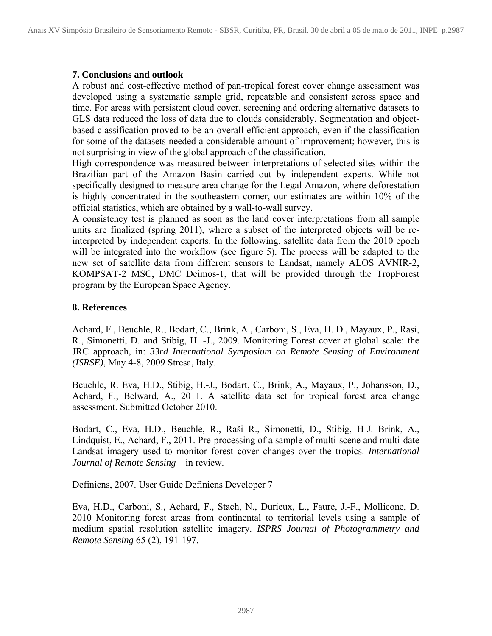#### **7. Conclusions and outlook**

A robust and cost-effective method of pan-tropical forest cover change assessment was developed using a systematic sample grid, repeatable and consistent across space and time. For areas with persistent cloud cover, screening and ordering alternative datasets to GLS data reduced the loss of data due to clouds considerably. Segmentation and objectbased classification proved to be an overall efficient approach, even if the classification for some of the datasets needed a considerable amount of improvement; however, this is not surprising in view of the global approach of the classification.

High correspondence was measured between interpretations of selected sites within the Brazilian part of the Amazon Basin carried out by independent experts. While not specifically designed to measure area change for the Legal Amazon, where deforestation is highly concentrated in the southeastern corner, our estimates are within 10% of the official statistics, which are obtained by a wall-to-wall survey.

A consistency test is planned as soon as the land cover interpretations from all sample units are finalized (spring 2011), where a subset of the interpreted objects will be reinterpreted by independent experts. In the following, satellite data from the 2010 epoch will be integrated into the workflow (see figure 5). The process will be adapted to the new set of satellite data from different sensors to Landsat, namely ALOS AVNIR-2, KOMPSAT-2 MSC, DMC Deimos-1, that will be provided through the TropForest program by the European Space Agency.

### **8. References**

Achard, F., Beuchle, R., Bodart, C., Brink, A., Carboni, S., Eva, H. D., Mayaux, P., Rasi, R., Simonetti, D. and Stibig, H. -J., 2009. Monitoring Forest cover at global scale: the JRC approach, in: *33rd International Symposium on Remote Sensing of Environment (ISRSE)*, May 4-8, 2009 Stresa, Italy.

Beuchle, R. Eva, H.D., Stibig, H.-J., Bodart, C., Brink, A., Mayaux, P., Johansson, D., Achard, F., Belward, A., 2011. A satellite data set for tropical forest area change assessment. Submitted October 2010.

Bodart, C., Eva, H.D., Beuchle, R., Raši R., Simonetti, D., Stibig, H-J. Brink, A., Lindquist, E., Achard, F., 2011. Pre-processing of a sample of multi-scene and multi-date Landsat imagery used to monitor forest cover changes over the tropics. *International Journal of Remote Sensing* – in review.

Definiens, 2007. User Guide Definiens Developer 7

Eva, H.D., Carboni, S., Achard, F., Stach, N., Durieux, L., Faure, J.-F., Mollicone, D. 2010 Monitoring forest areas from continental to territorial levels using a sample of medium spatial resolution satellite imagery. *ISPRS Journal of Photogrammetry and Remote Sensing* 65 (2), 191-197.